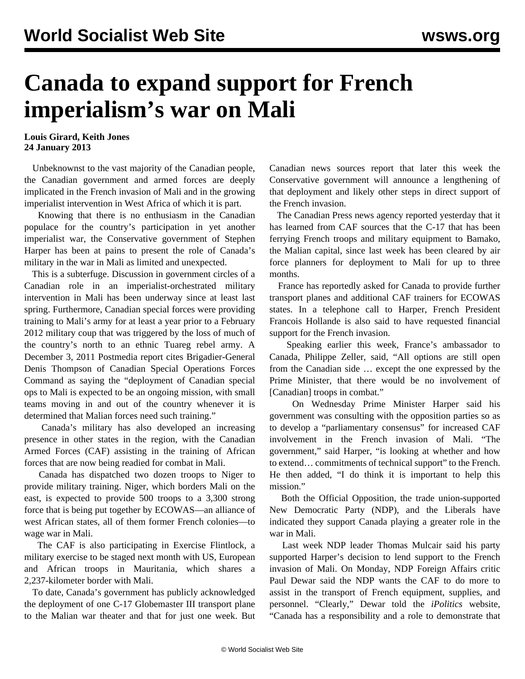## **Canada to expand support for French imperialism's war on Mali**

## **Louis Girard, Keith Jones 24 January 2013**

 Unbeknownst to the vast majority of the Canadian people, the Canadian government and armed forces are deeply implicated in the French invasion of Mali and in the growing imperialist intervention in West Africa of which it is part.

 Knowing that there is no enthusiasm in the Canadian populace for the country's participation in yet another imperialist war, the Conservative government of Stephen Harper has been at pains to present the role of Canada's military in the war in Mali as limited and unexpected.

 This is a subterfuge. Discussion in government circles of a Canadian role in an imperialist-orchestrated military intervention in Mali has been underway since at least last spring. Furthermore, Canadian special forces were providing training to Mali's army for at least a year prior to a February 2012 military coup that was triggered by the loss of much of the country's north to an ethnic Tuareg rebel army. A December 3, 2011 Postmedia report cites Brigadier-General Denis Thompson of Canadian Special Operations Forces Command as saying the "deployment of Canadian special ops to Mali is expected to be an ongoing mission, with small teams moving in and out of the country whenever it is determined that Malian forces need such training."

 Canada's military has also developed an increasing presence in other states in the region, with the Canadian Armed Forces (CAF) assisting in the training of African forces that are now being readied for combat in Mali.

 Canada has dispatched two dozen troops to Niger to provide military training. Niger, which borders Mali on the east, is expected to provide 500 troops to a 3,300 strong force that is being put together by ECOWAS—an alliance of west African states, all of them former French colonies—to wage war in Mali.

 The CAF is also participating in Exercise Flintlock, a military exercise to be staged next month with US, European and African troops in Mauritania, which shares a 2,237-kilometer border with Mali.

 To date, Canada's government has publicly acknowledged the deployment of one C-17 Globemaster III transport plane to the Malian war theater and that for just one week. But Canadian news sources report that later this week the Conservative government will announce a lengthening of that deployment and likely other steps in direct support of the French invasion.

 The Canadian Press news agency reported yesterday that it has learned from CAF sources that the C-17 that has been ferrying French troops and military equipment to Bamako, the Malian capital, since last week has been cleared by air force planners for deployment to Mali for up to three months.

 France has reportedly asked for Canada to provide further transport planes and additional CAF trainers for ECOWAS states. In a telephone call to Harper, French President Francois Hollande is also said to have requested financial support for the French invasion.

 Speaking earlier this week, France's ambassador to Canada, Philippe Zeller, said, "All options are still open from the Canadian side … except the one expressed by the Prime Minister, that there would be no involvement of [Canadian] troops in combat."

 On Wednesday Prime Minister Harper said his government was consulting with the opposition parties so as to develop a "parliamentary consensus" for increased CAF involvement in the French invasion of Mali. "The government," said Harper, "is looking at whether and how to extend… commitments of technical support" to the French. He then added, "I do think it is important to help this mission."

 Both the Official Opposition, the trade union-supported New Democratic Party (NDP), and the Liberals have indicated they support Canada playing a greater role in the war in Mali.

 Last week NDP leader Thomas Mulcair said his party supported Harper's decision to lend support to the French invasion of Mali. On Monday, NDP Foreign Affairs critic Paul Dewar said the NDP wants the CAF to do more to assist in the transport of French equipment, supplies, and personnel. "Clearly," Dewar told the *iPolitics* website, "Canada has a responsibility and a role to demonstrate that